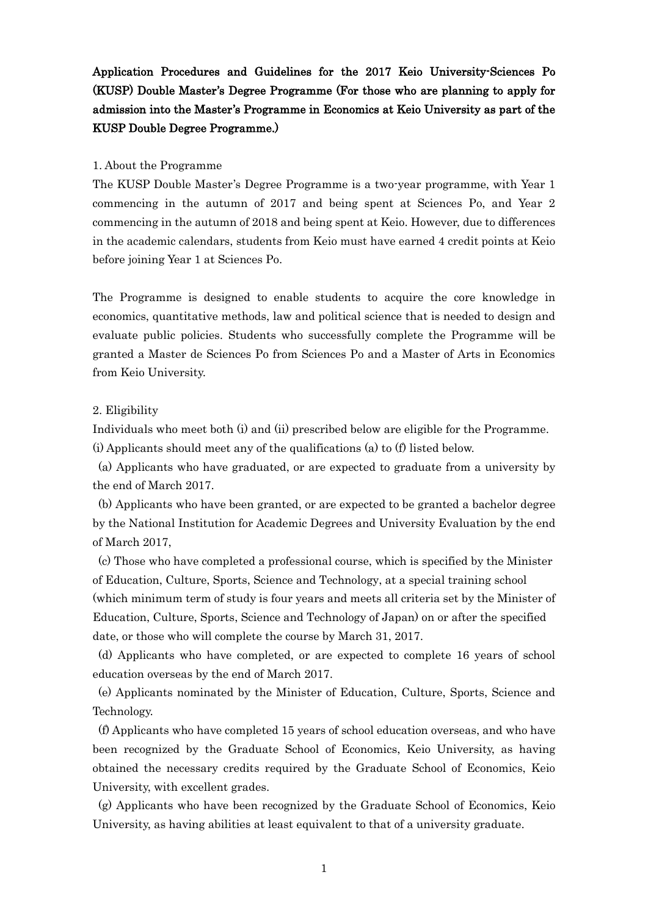# Application Procedures and Guidelines for the 2017 Keio University-Sciences Po (KUSP) Double Master's Degree Programme (For those who are planning to apply for admission into the Master's Programme in Economics at Keio University as part of the KUSP Double Degree Programme.)

#### 1. About the Programme

The KUSP Double Master's Degree Programme is a two-year programme, with Year 1 commencing in the autumn of 2017 and being spent at Sciences Po, and Year 2 commencing in the autumn of 2018 and being spent at Keio. However, due to differences in the academic calendars, students from Keio must have earned 4 credit points at Keio before joining Year 1 at Sciences Po.

The Programme is designed to enable students to acquire the core knowledge in economics, quantitative methods, law and political science that is needed to design and evaluate public policies. Students who successfully complete the Programme will be granted a Master de Sciences Po from Sciences Po and a Master of Arts in Economics from Keio University.

#### 2. Eligibility

Individuals who meet both (i) and (ii) prescribed below are eligible for the Programme. (i) Applicants should meet any of the qualifications (a) to (f) listed below.

(a) Applicants who have graduated, or are expected to graduate from a university by the end of March 2017.

(b) Applicants who have been granted, or are expected to be granted a bachelor degree by the National Institution for Academic Degrees and University Evaluation by the end of March 2017,

(c) Those who have completed a professional course, which is specified by the Minister of Education, Culture, Sports, Science and Technology, at a special training school (which minimum term of study is four years and meets all criteria set by the Minister of Education, Culture, Sports, Science and Technology of Japan) on or after the specified date, or those who will complete the course by March 31, 2017.

(d) Applicants who have completed, or are expected to complete 16 years of school education overseas by the end of March 2017.

(e) Applicants nominated by the Minister of Education, Culture, Sports, Science and Technology.

(f) Applicants who have completed 15 years of school education overseas, and who have been recognized by the Graduate School of Economics, Keio University, as having obtained the necessary credits required by the Graduate School of Economics, Keio University, with excellent grades.

(g) Applicants who have been recognized by the Graduate School of Economics, Keio University, as having abilities at least equivalent to that of a university graduate.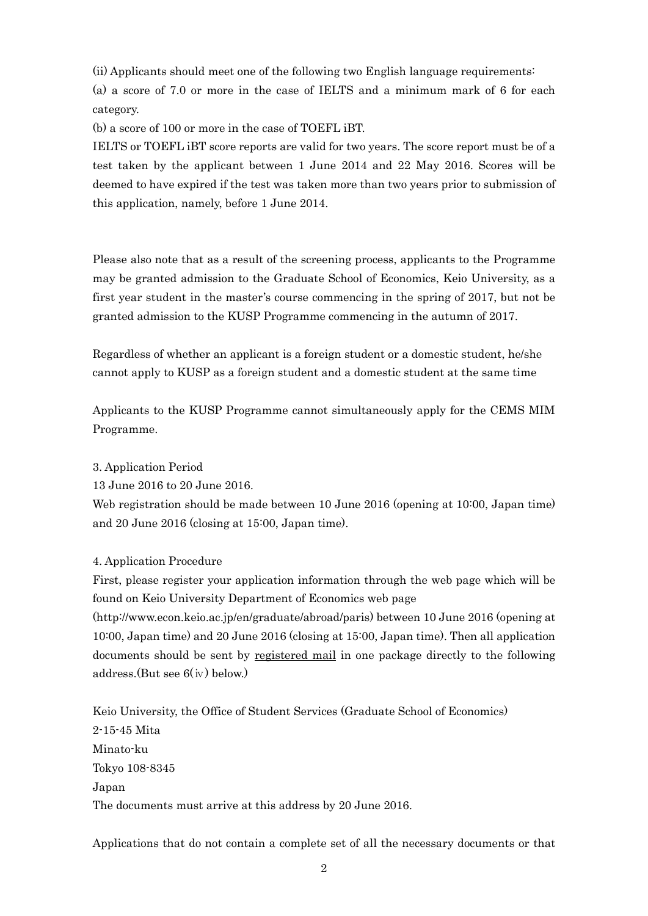(ii) Applicants should meet one of the following two English language requirements:

(a) a score of 7.0 or more in the case of IELTS and a minimum mark of 6 for each category.

(b) a score of 100 or more in the case of TOEFL iBT.

IELTS or TOEFL iBT score reports are valid for two years. The score report must be of a test taken by the applicant between 1 June 2014 and 22 May 2016. Scores will be deemed to have expired if the test was taken more than two years prior to submission of this application, namely, before 1 June 2014.

Please also note that as a result of the screening process, applicants to the Programme may be granted admission to the Graduate School of Economics, Keio University, as a first year student in the master's course commencing in the spring of 2017, but not be granted admission to the KUSP Programme commencing in the autumn of 2017.

Regardless of whether an applicant is a foreign student or a domestic student, he/she cannot apply to KUSP as a foreign student and a domestic student at the same time

Applicants to the KUSP Programme cannot simultaneously apply for the CEMS MIM Programme.

3. Application Period

13 June 2016 to 20 June 2016.

Web registration should be made between 10 June 2016 (opening at 10:00, Japan time) and 20 June 2016 (closing at 15:00, Japan time).

#### 4. Application Procedure

First, please register your application information through the web page which will be found on Keio University Department of Economics web page

(http://www.econ.keio.ac.jp/en/graduate/abroad/paris) between 10 June 2016 (opening at 10:00, Japan time) and 20 June 2016 (closing at 15:00, Japan time). Then all application documents should be sent by registered mail in one package directly to the following  $address.(But see 6(iv) below.)$ 

Keio University, the Office of Student Services (Graduate School of Economics) 2-15-45 Mita Minato-ku Tokyo 108-8345 Japan The documents must arrive at this address by 20 June 2016.

Applications that do not contain a complete set of all the necessary documents or that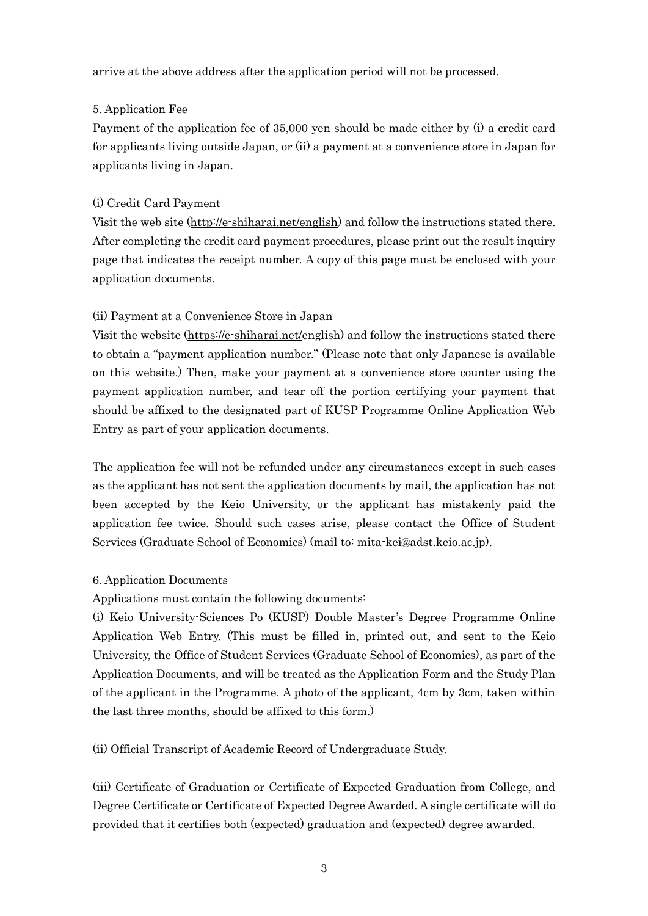arrive at the above address after the application period will not be processed.

### 5. Application Fee

Payment of the application fee of 35,000 yen should be made either by (i) a credit card for applicants living outside Japan, or (ii) a payment at a convenience store in Japan for applicants living in Japan.

## (i) Credit Card Payment

Visit the web site [\(http://e-shiharai.net/english\)](https://e-shiharai.net/english/?schoolcode=OPU5101470000000) and follow the instructions stated there. After completing the credit card payment procedures, please print out the result inquiry page that indicates the receipt number. A copy of this page must be enclosed with your application documents.

### (ii) Payment at a Convenience Store in Japan

Visit the website [\(https://e-shiharai.net/e](https://e-shiharai.net/)nglish) and follow the instructions stated there to obtain a "payment application number." (Please note that only Japanese is available on this website.) Then, make your payment at a convenience store counter using the payment application number, and tear off the portion certifying your payment that should be affixed to the designated part of KUSP Programme Online Application Web Entry as part of your application documents.

The application fee will not be refunded under any circumstances except in such cases as the applicant has not sent the application documents by mail, the application has not been accepted by the Keio University, or the applicant has mistakenly paid the application fee twice. Should such cases arise, please contact the Office of Student Services (Graduate School of Economics) (mail to: mita-kei@adst.keio.ac.jp).

# 6. Application Documents

Applications must contain the following documents:

(i) Keio University-Sciences Po (KUSP) Double Master's Degree Programme Online Application Web Entry. (This must be filled in, printed out, and sent to the Keio University, the Office of Student Services (Graduate School of Economics), as part of the Application Documents, and will be treated as the Application Form and the Study Plan of the applicant in the Programme. A photo of the applicant, 4cm by 3cm, taken within the last three months, should be affixed to this form.)

(ii) Official Transcript of Academic Record of Undergraduate Study.

(iii) Certificate of Graduation or Certificate of Expected Graduation from College, and Degree Certificate or Certificate of Expected Degree Awarded. A single certificate will do provided that it certifies both (expected) graduation and (expected) degree awarded.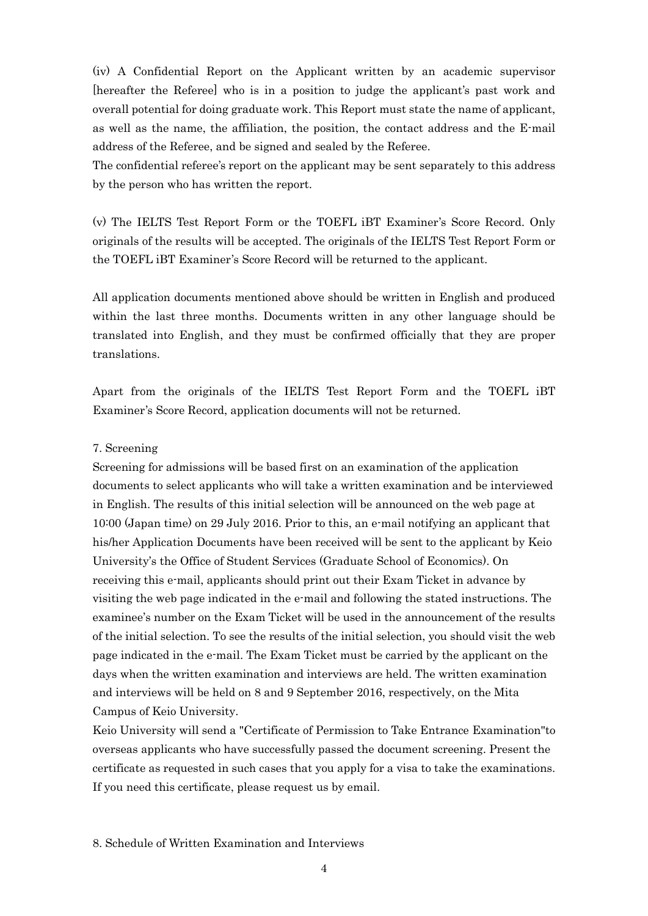(iv) A Confidential Report on the Applicant written by an academic supervisor [hereafter the Referee] who is in a position to judge the applicant's past work and overall potential for doing graduate work. This Report must state the name of applicant, as well as the name, the affiliation, the position, the contact address and the E-mail address of the Referee, and be signed and sealed by the Referee.

The confidential referee's report on the applicant may be sent separately to this address by the person who has written the report.

(v) The IELTS Test Report Form or the TOEFL iBT Examiner's Score Record. Only originals of the results will be accepted. The originals of the IELTS Test Report Form or the TOEFL iBT Examiner's Score Record will be returned to the applicant.

All application documents mentioned above should be written in English and produced within the last three months. Documents written in any other language should be translated into English, and they must be confirmed officially that they are proper translations.

Apart from the originals of the IELTS Test Report Form and the TOEFL iBT Examiner's Score Record, application documents will not be returned.

#### 7. Screening

Screening for admissions will be based first on an examination of the application documents to select applicants who will take a written examination and be interviewed in English. The results of this initial selection will be announced on the web page at 10:00 (Japan time) on 29 July 2016. Prior to this, an e-mail notifying an applicant that his/her Application Documents have been received will be sent to the applicant by Keio University's the Office of Student Services (Graduate School of Economics). On receiving this e-mail, applicants should print out their Exam Ticket in advance by visiting the web page indicated in the e-mail and following the stated instructions. The examinee's number on the Exam Ticket will be used in the announcement of the results of the initial selection. To see the results of the initial selection, you should visit the web page indicated in the e-mail. The Exam Ticket must be carried by the applicant on the days when the written examination and interviews are held. The written examination and interviews will be held on 8 and 9 September 2016, respectively, on the Mita Campus of Keio University.

Keio University will send a "Certificate of Permission to Take Entrance Examination"to overseas applicants who have successfully passed the document screening. Present the certificate as requested in such cases that you apply for a visa to take the examinations. If you need this certificate, please request us by email.

#### 8. Schedule of Written Examination and Interviews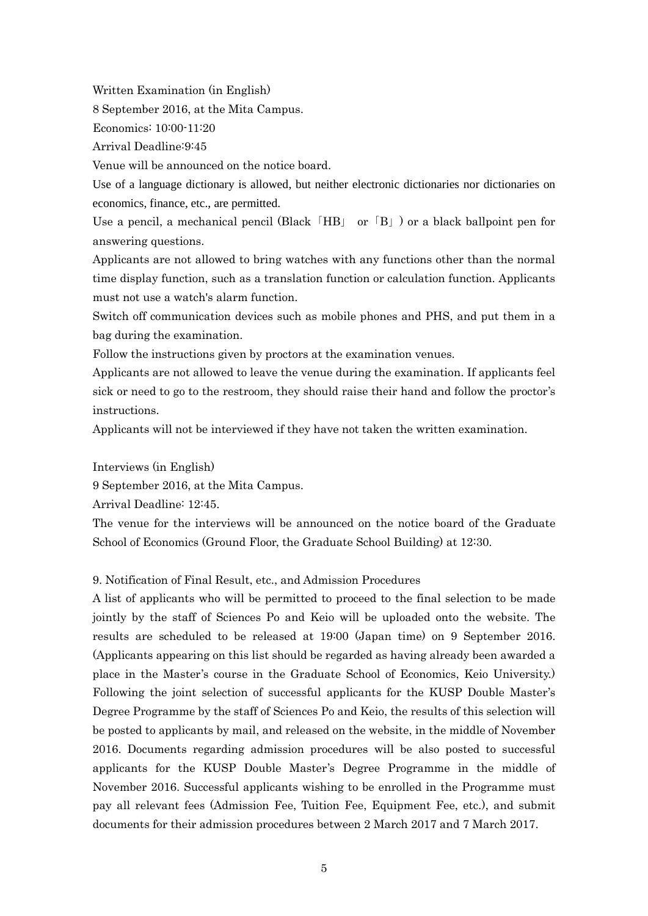Written Examination (in English)

8 September 2016, at the Mita Campus.

Economics: 10:00-11:20

Arrival Deadline:9:45

Venue will be announced on the notice board.

Use of a language dictionary is allowed, but neither electronic dictionaries nor dictionaries on economics, finance, etc., are permitted.

Use a pencil, a mechanical pencil (Black  $\overline{H}$ HB $\overline{H}$ ) or a black ballpoint pen for answering questions.

Applicants are not allowed to bring watches with any functions other than the normal time display function, such as a translation function or calculation function. Applicants must not use a watch's alarm function.

Switch off communication devices such as mobile phones and PHS, and put them in a bag during the examination.

Follow the instructions given by proctors at the examination venues.

Applicants are not allowed to leave the venue during the examination. If applicants feel sick or need to go to the restroom, they should raise their hand and follow the proctor's instructions.

Applicants will not be interviewed if they have not taken the written examination.

Interviews (in English)

9 September 2016, at the Mita Campus.

Arrival Deadline: 12:45.

The venue for the interviews will be announced on the notice board of the Graduate School of Economics (Ground Floor, the Graduate School Building) at 12:30.

#### 9. Notification of Final Result, etc., and Admission Procedures

A list of applicants who will be permitted to proceed to the final selection to be made jointly by the staff of Sciences Po and Keio will be uploaded onto the website. The results are scheduled to be released at 19:00 (Japan time) on 9 September 2016. (Applicants appearing on this list should be regarded as having already been awarded a place in the Master's course in the Graduate School of Economics, Keio University.) Following the joint selection of successful applicants for the KUSP Double Master's Degree Programme by the staff of Sciences Po and Keio, the results of this selection will be posted to applicants by mail, and released on the website, in the middle of November 2016. Documents regarding admission procedures will be also posted to successful applicants for the KUSP Double Master's Degree Programme in the middle of November 2016. Successful applicants wishing to be enrolled in the Programme must pay all relevant fees (Admission Fee, Tuition Fee, Equipment Fee, etc.), and submit documents for their admission procedures between 2 March 2017 and 7 March 2017.